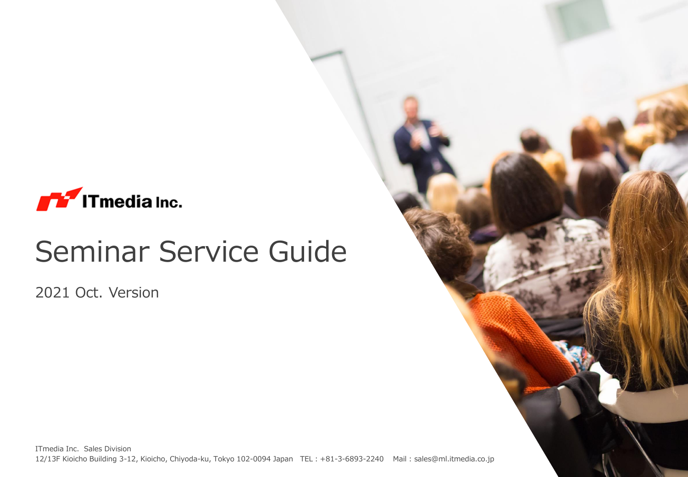

# Seminar Service Guide

2021 Oct. Version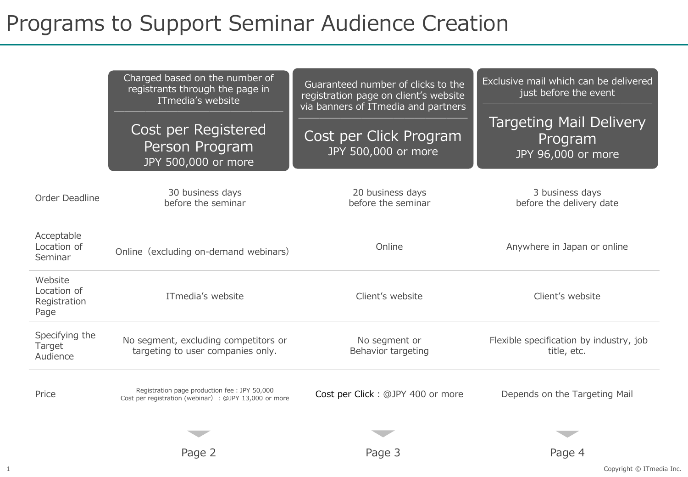## Programs to Support Seminar Audience Creation

|                                                | Charged based on the number of<br>registrants through the page in<br>ITmedia's website<br>Cost per Registered<br>Person Program<br>JPY 500,000 or more | Guaranteed number of clicks to the<br>registration page on client's website<br>via banners of ITmedia and partners<br>Cost per Click Program<br>JPY 500,000 or more | Exclusive mail which can be delivered<br>just before the event<br><b>Targeting Mail Delivery</b><br>Program<br>JPY 96,000 or more |
|------------------------------------------------|--------------------------------------------------------------------------------------------------------------------------------------------------------|---------------------------------------------------------------------------------------------------------------------------------------------------------------------|-----------------------------------------------------------------------------------------------------------------------------------|
| Order Deadline                                 | 30 business days<br>before the seminar                                                                                                                 | 20 business days<br>before the seminar                                                                                                                              | 3 business days<br>before the delivery date                                                                                       |
| Acceptable<br>Location of<br>Seminar           | Online (excluding on-demand webinars)                                                                                                                  | Online                                                                                                                                                              | Anywhere in Japan or online                                                                                                       |
| Website<br>Location of<br>Registration<br>Page | ITmedia's website                                                                                                                                      | Client's website                                                                                                                                                    | Client's website                                                                                                                  |
| Specifying the<br>Target<br>Audience           | No segment, excluding competitors or<br>targeting to user companies only.                                                                              | No segment or<br>Behavior targeting                                                                                                                                 | Flexible specification by industry, job<br>title, etc.                                                                            |
| Price                                          | Registration page production fee : JPY 50,000<br>Cost per registration (webinar) : @JPY 13,000 or more                                                 | Cost per Click: @JPY 400 or more                                                                                                                                    | Depends on the Targeting Mail                                                                                                     |
|                                                |                                                                                                                                                        |                                                                                                                                                                     |                                                                                                                                   |
|                                                | Page 2                                                                                                                                                 | Page 3                                                                                                                                                              | Page 4                                                                                                                            |

1 Copyright © ITmedia Inc.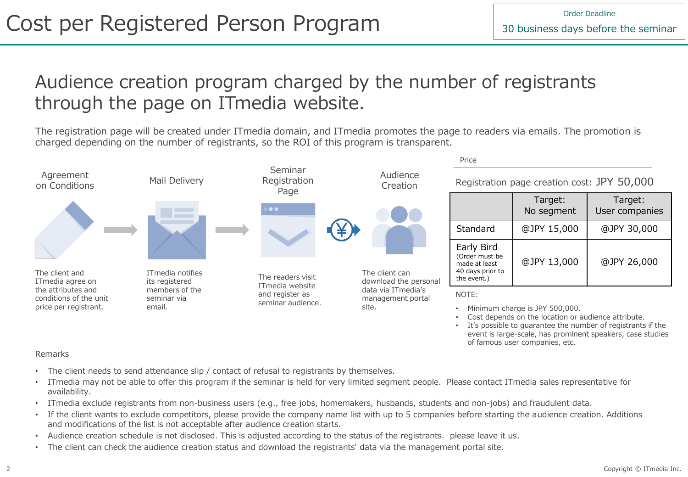### Audience creation program charged by the number of registrants through the page on ITmedia website.

The registration page will be created under ITmedia domain, and ITmedia promotes the page to readers via emails. The promotion is charged depending on the number of registrants, so the ROI of this program is transparent.



#### Remarks

- The client needs to send attendance slip / contact of refusal to registrants by themselves.
- ITmedia may not be able to offer this program if the seminar is held for very limited segment people. Please contact ITmedia sales representative for availability.
- ITmedia exclude registrants from non-business users (e.g., free jobs, homemakers, husbands, students and non-jobs) and fraudulent data.
- If the client wants to exclude competitors, please provide the company name list with up to 5 companies before starting the audience creation. Additions and modifications of the list is not acceptable after audience creation starts.
- Audience creation schedule is not disclosed. This is adjusted according to the status of the registrants. please leave it us.
- The client can check the audience creation status and download the registrants' data via the management portal site.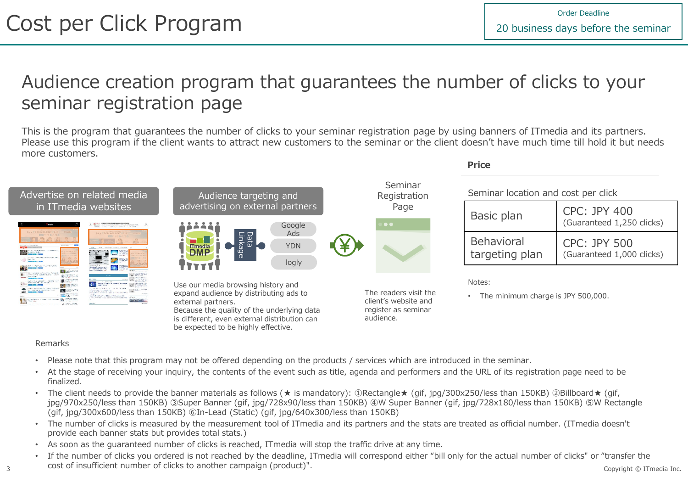**Price**

### Audience creation program that guarantees the number of clicks to your seminar registration page

This is the program that guarantees the number of clicks to your seminar registration page by using banners of ITmedia and its partners. Please use this program if the client wants to attract new customers to the seminar or the client doesn't have much time till hold it but needs more customers.



#### Remarks

- Please note that this program may not be offered depending on the products / services which are introduced in the seminar.
- At the stage of receiving your inquiry, the contents of the event such as title, agenda and performers and the URL of its registration page need to be finalized.
- The client needs to provide the banner materials as follows (★ is mandatory): ①Rectangle★ (gif, jpg/300x250/less than 150KB) ②Billboard★ (gif, jpg/970x250/less than 150KB) ③Super Banner (gif, jpg/728x90/less than 150KB) ④W Super Banner (gif, jpg/728x180/less than 150KB) ⑤W Rectangle (gif, jpg/300x600/less than 150KB) ⑥In-Lead (Static) (gif, jpg/640x300/less than 150KB)
- The number of clicks is measured by the measurement tool of ITmedia and its partners and the stats are treated as official number. (ITmedia doesn't provide each banner stats but provides total stats.)
- As soon as the guaranteed number of clicks is reached, ITmedia will stop the traffic drive at any time.
- 3 Cost of insufficient number of clicks to another campaign (product)". If the number of clicks you ordered is not reached by the deadline, ITmedia will correspond either "bill only for the actual number of clicks" or "transfer the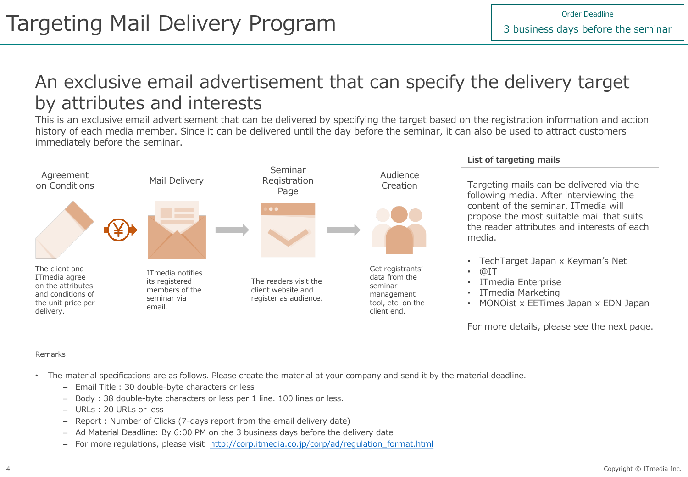### An exclusive email advertisement that can specify the delivery target by attributes and interests

This is an exclusive email advertisement that can be delivered by specifying the target based on the registration information and action history of each media member. Since it can be delivered until the day before the seminar, it can also be used to attract customers immediately before the seminar.



#### **List of targeting mails**

Targeting mails can be delivered via the following media. After interviewing the content of the seminar, ITmedia will propose the most suitable mail that suits the reader attributes and interests of each media.

- TechTarget Japan x Keyman's Net
- $@IT$
- ITmedia Enterprise
- ITmedia Marketing
- MONOist x EETimes Japan x EDN Japan

For more details, please see the next page.

#### Remarks

- The material specifications are as follows. Please create the material at your company and send it by the material deadline.
	- Email Title : 30 double-byte characters or less
	- Body : 38 double-byte characters or less per 1 line. 100 lines or less.
	- URLs : 20 URLs or less
	- Report : Number of Clicks (7-days report from the email delivery date)
	- Ad Material Deadline: By 6:00 PM on the 3 business days before the delivery date
	- For more regulations, please visit [http://corp.itmedia.co.jp/corp/ad/regulation\\_format.html](http://corp.itmedia.co.jp/corp/ad/regulation_format.html)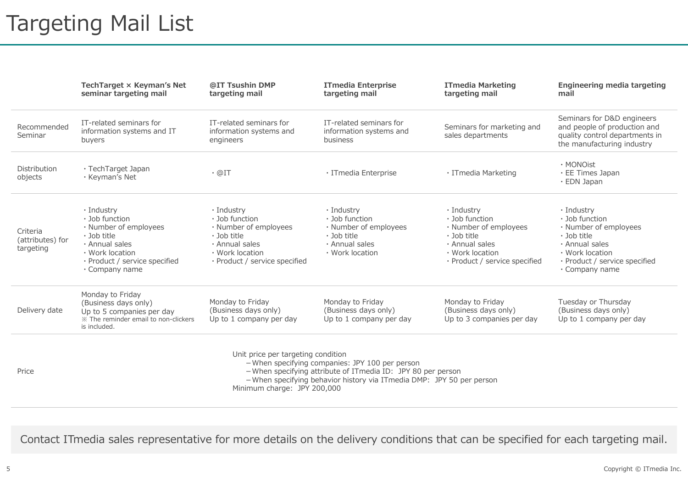## Targeting Mail List

|                                                                                                                                                                                                                                                                        | TechTarget × Keyman's Net<br>seminar targeting mail                                                                                                                            | @IT Tsushin DMP<br>targeting mail                                                                                                                | <b>ITmedia Enterprise</b><br>targeting mail                                                                     | <b>ITmedia Marketing</b><br>targeting mail                                                                                                             | Engineering media targeting<br>mail                                                                                                                                |
|------------------------------------------------------------------------------------------------------------------------------------------------------------------------------------------------------------------------------------------------------------------------|--------------------------------------------------------------------------------------------------------------------------------------------------------------------------------|--------------------------------------------------------------------------------------------------------------------------------------------------|-----------------------------------------------------------------------------------------------------------------|--------------------------------------------------------------------------------------------------------------------------------------------------------|--------------------------------------------------------------------------------------------------------------------------------------------------------------------|
| Recommended<br>Seminar                                                                                                                                                                                                                                                 | IT-related seminars for<br>information systems and IT<br>buyers                                                                                                                | IT-related seminars for<br>information systems and<br>engineers                                                                                  | IT-related seminars for<br>information systems and<br>business                                                  | Seminars for marketing and<br>sales departments                                                                                                        | Seminars for D&D engineers<br>and people of production and<br>quality control departments in<br>the manufacturing industry                                         |
| Distribution<br>objects                                                                                                                                                                                                                                                | · TechTarget Japan<br>· Keyman's Net                                                                                                                                           | $\cdot$ @IT                                                                                                                                      | · ITmedia Enterprise                                                                                            | · ITmedia Marketing                                                                                                                                    | · MONOist<br>$\cdot$ EE Times Japan<br>$\cdot$ EDN Japan                                                                                                           |
| Criteria<br>(attributes) for<br>targeting                                                                                                                                                                                                                              | · Industry<br>$\cdot$ Job function<br>· Number of employees<br>$\cdot$ Job title<br>· Annual sales<br>• Work location<br>· Product / service specified<br>$\cdot$ Company name | · Industry<br>· Job function<br>· Number of employees<br>$\cdot$ Job title<br>· Annual sales<br>• Work location<br>· Product / service specified | · Industry<br>· Job function<br>· Number of employees<br>$\cdot$ Job title<br>· Annual sales<br>• Work location | $\cdot$ Industry<br>· Job function<br>· Number of employees<br>$\cdot$ Job title<br>· Annual sales<br>• Work location<br>· Product / service specified | · Industry<br>· Job function<br>· Number of employees<br>$\cdot$ Job title<br>· Annual sales<br>• Work location<br>· Product / service specified<br>· Company name |
| Delivery date                                                                                                                                                                                                                                                          | Monday to Friday<br>(Business days only)<br>Up to 5 companies per day<br>* The reminder email to non-clickers<br>is included.                                                  | Monday to Friday<br>(Business days only)<br>Up to 1 company per day                                                                              | Monday to Friday<br>(Business days only)<br>Up to 1 company per day                                             | Monday to Friday<br>(Business days only)<br>Up to 3 companies per day                                                                                  | Tuesday or Thursday<br>(Business days only)<br>Up to 1 company per day                                                                                             |
| Unit price per targeting condition<br>- When specifying companies: JPY 100 per person<br>Price<br>- When specifying attribute of ITmedia ID: JPY 80 per person<br>- When specifying behavior history via ITmedia DMP: JPY 50 per person<br>Minimum charge: JPY 200,000 |                                                                                                                                                                                |                                                                                                                                                  |                                                                                                                 |                                                                                                                                                        |                                                                                                                                                                    |

Contact ITmedia sales representative for more details on the delivery conditions that can be specified for each targeting mail.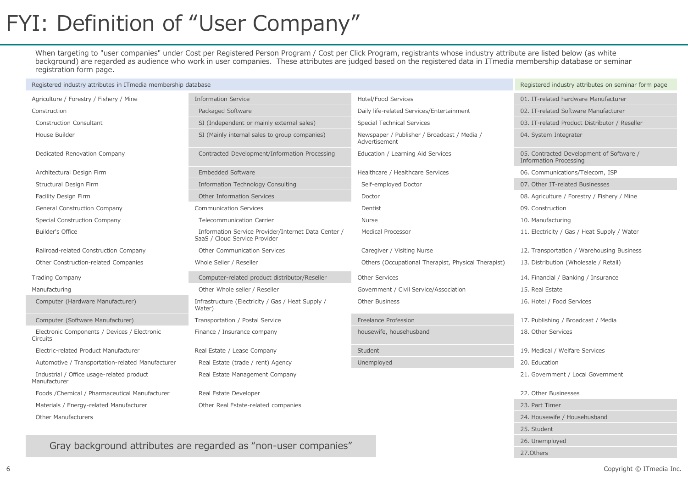## FYI: Definition of "User Company"

When targeting to "user companies" under Cost per Registered Person Program / Cost per Click Program, registrants whose industry attribute are listed below (as white background) are regarded as audience who work in user companies. These attributes are judged based on the registered data in ITmedia membership database or seminar registration form page.

| Registered industry attributes in ITmedia membership database | Registered industry attributes on seminar form page                                  |                                                              |                                                                           |
|---------------------------------------------------------------|--------------------------------------------------------------------------------------|--------------------------------------------------------------|---------------------------------------------------------------------------|
| Agriculture / Forestry / Fishery / Mine                       | <b>Information Service</b>                                                           | Hotel/Food Services                                          | 01. IT-related hardware Manufacturer                                      |
| Construction                                                  | Packaged Software                                                                    | Daily life-related Services/Entertainment                    | 02. IT-related Software Manufacturer                                      |
| <b>Construction Consultant</b>                                | SI (Independent or mainly external sales)                                            | Special Technical Services                                   | 03. IT-related Product Distributor / Reseller                             |
| House Builder                                                 | SI (Mainly internal sales to group companies)                                        | Newspaper / Publisher / Broadcast / Media /<br>Advertisement | 04. System Integrater                                                     |
| Dedicated Renovation Company                                  | Contracted Development/Information Processing                                        | Education / Learning Aid Services                            | 05. Contracted Development of Software /<br><b>Information Processing</b> |
| Architectural Design Firm                                     | <b>Embedded Software</b>                                                             | Healthcare / Healthcare Services                             | 06. Communications/Telecom, ISP                                           |
| Structural Design Firm                                        | Information Technology Consulting                                                    | Self-employed Doctor                                         | 07. Other IT-related Businesses                                           |
| Facility Design Firm                                          | Other Information Services                                                           | Doctor                                                       | 08. Agriculture / Forestry / Fishery / Mine                               |
| General Construction Company                                  | <b>Communication Services</b>                                                        | Dentist                                                      | 09. Construction                                                          |
| Special Construction Company                                  | Telecommunication Carrier                                                            | <b>Nurse</b>                                                 | 10. Manufacturing                                                         |
| Builder's Office                                              | Information Service Provider/Internet Data Center /<br>SaaS / Cloud Service Provider | <b>Medical Processor</b>                                     | 11. Electricity / Gas / Heat Supply / Water                               |
| Railroad-related Construction Company                         | Other Communication Services                                                         | Caregiver / Visiting Nurse                                   | 12. Transportation / Warehousing Business                                 |
| Other Construction-related Companies                          | Whole Seller / Reseller                                                              | Others (Occupational Therapist, Physical Therapist)          | 13. Distribution (Wholesale / Retail)                                     |
| <b>Trading Company</b>                                        | Computer-related product distributor/Reseller                                        | Other Services                                               | 14. Financial / Banking / Insurance                                       |
| Manufacturing                                                 | Other Whole seller / Reseller                                                        | Government / Civil Service/Association                       | 15. Real Estate                                                           |
| Computer (Hardware Manufacturer)                              | Infrastructure (Electricity / Gas / Heat Supply /<br>Water)                          | Other Business                                               | 16. Hotel / Food Services                                                 |
| Computer (Software Manufacturer)                              | Transportation / Postal Service                                                      | Freelance Profession                                         | 17. Publishing / Broadcast / Media                                        |
| Electronic Components / Devices / Electronic<br>Circuits      | Finance / Insurance company                                                          | housewife, househusband                                      | 18. Other Services                                                        |
| Electric-related Product Manufacturer                         | Real Estate / Lease Company                                                          | <b>Student</b>                                               | 19. Medical / Welfare Services                                            |
| Automotive / Transportation-related Manufacturer              | Real Estate (trade / rent) Agency                                                    | Unemployed                                                   | 20. Education                                                             |
| Industrial / Office usage-related product<br>Manufacturer     | Real Estate Management Company                                                       |                                                              | 21. Government / Local Government                                         |
| Foods / Chemical / Pharmaceutical Manufacturer                | Real Estate Developer                                                                |                                                              | 22. Other Businesses                                                      |
| Materials / Energy-related Manufacturer                       | Other Real Estate-related companies                                                  |                                                              | 23. Part Timer                                                            |
| <b>Other Manufacturers</b>                                    |                                                                                      |                                                              | 24. Housewife / Househusband                                              |

Gray background attributes are regarded as "non-user companies"

25. Student 26. Unemployed 27.Others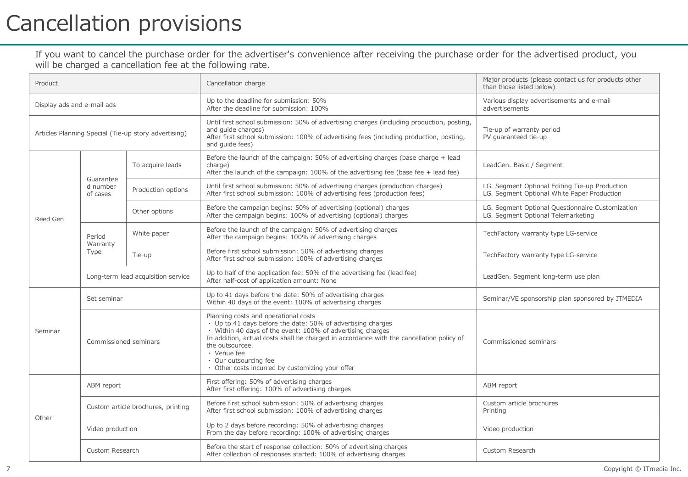## Cancellation provisions

If you want to cancel the purchase order for the advertiser's convenience after receiving the purchase order for the advertised product, you will be charged a cancellation fee at the following rate.

| Product                                              |                                    |                    | Cancellation charge                                                                                                                                                                                                                                                                                                                                                          | Major products (please contact us for products other<br>than those listed below)              |
|------------------------------------------------------|------------------------------------|--------------------|------------------------------------------------------------------------------------------------------------------------------------------------------------------------------------------------------------------------------------------------------------------------------------------------------------------------------------------------------------------------------|-----------------------------------------------------------------------------------------------|
| Display ads and e-mail ads                           |                                    |                    | Up to the deadline for submission: 50%<br>After the deadline for submission: 100%                                                                                                                                                                                                                                                                                            | Various display advertisements and e-mail<br>advertisements                                   |
| Articles Planning Special (Tie-up story advertising) |                                    |                    | Until first school submission: 50% of advertising charges (including production, posting,<br>and quide charges)<br>After first school submission: 100% of advertising fees (including production, posting,<br>and quide fees)                                                                                                                                                | Tie-up of warranty period<br>PV quaranteed tie-up                                             |
| Reed Gen                                             | Guarantee<br>d number<br>of cases  | To acquire leads   | Before the launch of the campaign: 50% of advertising charges (base charge $+$ lead<br>charge)<br>After the launch of the campaign: $100\%$ of the advertising fee (base fee + lead fee)                                                                                                                                                                                     | LeadGen. Basic / Segment                                                                      |
|                                                      |                                    | Production options | Until first school submission: 50% of advertising charges (production charges)<br>After first school submission: 100% of advertising fees (production fees)                                                                                                                                                                                                                  | LG. Segment Optional Editing Tie-up Production<br>LG. Segment Optional White Paper Production |
|                                                      |                                    | Other options      | Before the campaign begins: 50% of advertising (optional) charges<br>After the campaign begins: 100% of advertising (optional) charges                                                                                                                                                                                                                                       | LG. Segment Optional Questionnaire Customization<br>LG. Segment Optional Telemarketing        |
|                                                      | Period<br>Warranty<br>Type         | White paper        | Before the launch of the campaign: 50% of advertising charges<br>After the campaign begins: 100% of advertising charges                                                                                                                                                                                                                                                      | TechFactory warranty type LG-service                                                          |
|                                                      |                                    | Tie-up             | Before first school submission: 50% of advertising charges<br>After first school submission: 100% of advertising charges                                                                                                                                                                                                                                                     | TechFactory warranty type LG-service                                                          |
|                                                      | Long-term lead acquisition service |                    | Up to half of the application fee: 50% of the advertising fee (lead fee)<br>After half-cost of application amount: None                                                                                                                                                                                                                                                      | LeadGen. Segment long-term use plan                                                           |
| Seminar                                              | Set seminar                        |                    | Up to 41 days before the date: 50% of advertising charges<br>Within 40 days of the event: 100% of advertising charges                                                                                                                                                                                                                                                        | Seminar/VE sponsorship plan sponsored by ITMEDIA                                              |
|                                                      | Commissioned seminars              |                    | Planning costs and operational costs<br>• Up to 41 days before the date: 50% of advertising charges<br>· Within 40 days of the event: 100% of advertising charges<br>In addition, actual costs shall be charged in accordance with the cancellation policy of<br>the outsourcee.<br>• Venue fee<br>· Our outsourcing fee<br>· Other costs incurred by customizing your offer | Commissioned seminars                                                                         |
| Other                                                | ABM report                         |                    | First offering: 50% of advertising charges<br>After first offering: 100% of advertising charges                                                                                                                                                                                                                                                                              | ABM report                                                                                    |
|                                                      | Custom article brochures, printing |                    | Before first school submission: 50% of advertising charges<br>After first school submission: 100% of advertising charges                                                                                                                                                                                                                                                     | Custom article brochures<br>Printing                                                          |
|                                                      | Video production                   |                    | Up to 2 days before recording: 50% of advertising charges<br>From the day before recording: 100% of advertising charges                                                                                                                                                                                                                                                      | Video production                                                                              |
|                                                      | Custom Research                    |                    | Before the start of response collection: 50% of advertising charges<br>After collection of responses started: 100% of advertising charges                                                                                                                                                                                                                                    | Custom Research                                                                               |